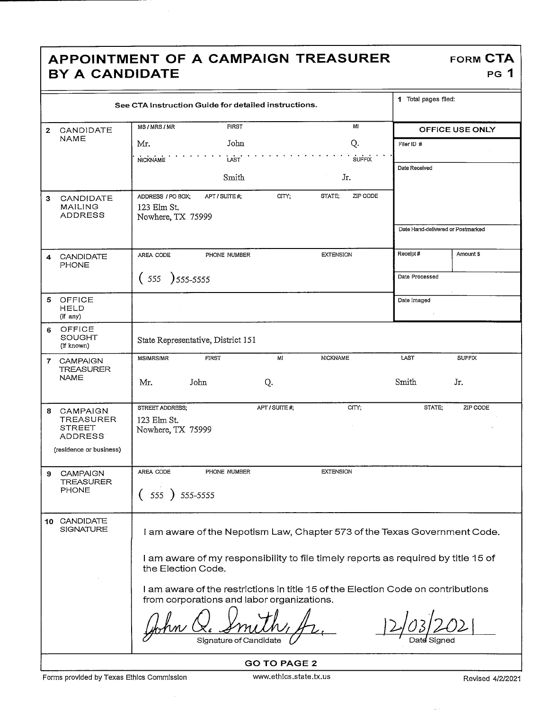## APPOINTMENT OF A CAMPAIGN TREASURER FORM CTA BY A CANDIDATE

| See CTA Instruction Guide for detailed instructions. |                                                                              |                                                                                                                                |               |                  |               | 1 Total pages filed:              |               |  |
|------------------------------------------------------|------------------------------------------------------------------------------|--------------------------------------------------------------------------------------------------------------------------------|---------------|------------------|---------------|-----------------------------------|---------------|--|
| $\mathbf{z}$                                         | CANDIDATE                                                                    | MS / MRS / MR<br><b>FIRST</b>                                                                                                  |               |                  | MI            | OFFICE USE ONLY                   |               |  |
|                                                      | NAME                                                                         | Mr.                                                                                                                            | John          |                  | Q.            | Filer ID #                        |               |  |
|                                                      |                                                                              | <b>NICKNAME</b>                                                                                                                | LAST          |                  | <b>SUFFIX</b> |                                   |               |  |
|                                                      |                                                                              |                                                                                                                                | Smith         |                  | Jr.           | Date Received                     |               |  |
| 3                                                    | CANDIDATE<br><b>MAILING</b><br><b>ADDRESS</b>                                | ZIP CODE<br>STATE;<br>ADDRESS / PO BOX;<br>APT / SUITE #;<br>CITY:<br>123 Elm St.<br>Nowhere, TX 75999                         |               |                  |               | Date Hand-delivered or Postmarked |               |  |
|                                                      |                                                                              |                                                                                                                                |               |                  |               |                                   |               |  |
| 4                                                    | CANDIDATE<br><b>PHONE</b>                                                    | AREA CODE                                                                                                                      | PHONE NUMBER  | <b>EXTENSION</b> |               | Receipt#                          | Amount \$     |  |
|                                                      |                                                                              | (555)<br>$)$ 555–5555                                                                                                          |               | Date Processed   |               |                                   |               |  |
| 5                                                    | OFFICE<br><b>HELD</b><br>(if any)                                            |                                                                                                                                |               |                  |               | Date Imaged                       |               |  |
| 6                                                    | OFFICE<br><b>SOUGHT</b><br>(if known)                                        | State Representative, District 151                                                                                             |               |                  |               |                                   |               |  |
| $\mathbf{7}$                                         | <b>CAMPAIGN</b><br><b>TREASURER</b>                                          | <b>MS/MRS/MR</b><br><b>FIRST</b>                                                                                               | MI            | <b>NICKNAME</b>  |               | LAST                              | <b>SUFFIX</b> |  |
|                                                      | NAME                                                                         | John<br>Mr.                                                                                                                    | Q.            |                  |               | Smith                             | Jr.           |  |
| 8                                                    | CAMPAIGN<br><b>TREASURER</b><br>STREET<br>ADDRESS<br>(residence or business) | STREET ADDRESS;<br>123 Elm St.<br>Nowhere, TX 75999                                                                            | APT / SUITE # |                  | CITY;         | STATE;                            | ZIP CODE      |  |
| 9                                                    | <b>CAMPAIGN</b>                                                              | AREA CODE                                                                                                                      | PHONE NUMBER  | <b>EXTENSION</b> |               |                                   |               |  |
|                                                      | <b>TREASURER</b><br><b>PHONE</b>                                             | 555 )<br>555-5555                                                                                                              |               |                  |               |                                   |               |  |
|                                                      | 10 CANDIDATE<br>SIGNATURE                                                    | I am aware of the Nepotism Law, Chapter 573 of the Texas Government Code.                                                      |               |                  |               |                                   |               |  |
|                                                      |                                                                              | I am aware of my responsibility to file timely reports as required by title 15 of<br>the Election Code.                        |               |                  |               |                                   |               |  |
|                                                      |                                                                              | I am aware of the restrictions in title 15 of the Election Code on contributions<br>from corporations and labor organizations. |               |                  |               |                                   |               |  |
|                                                      |                                                                              |                                                                                                                                |               |                  |               |                                   |               |  |

GO TO PAGE 2

 $\frac{12}{\frac{12}{\frac{12}{\frac{12}{\frac{12}{\frac{12}{\frac{12}{\frac{12}{\frac{12}{\frac{12}{\frac{12}{\frac{12}{\frac{12}{\frac{12}{\frac{12}{\frac{12}{\frac{12}{\frac{12}{\frac{12}{\frac{12}{\frac{12}{\frac{12}{\frac{12}{\frac{12}{\frac{12}{\frac{12}{\frac{12}{\frac{12}{\frac{12}{\frac{12}{\frac{12}{\frac{12}{\frac{12}{\frac{12}{\frac{12}{\frac{12}{\frac{1$ 

PG 1